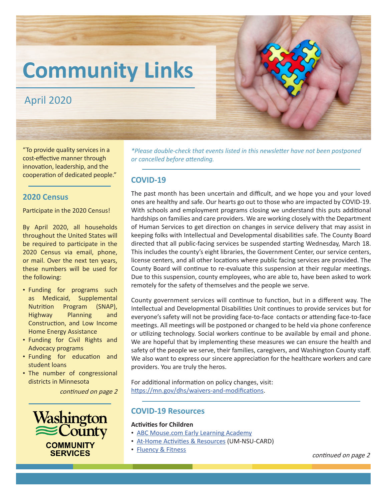# **Community Links**

# April 2020

"To provide quality services in a cost-effective manner through innovation, leadership, and the cooperation of dedicated people."

# **2020 Census**

Participate in the 2020 Census!

By April 2020, all households throughout the United States will be required to participate in the 2020 Census via email, phone, or mail. Over the next ten years, these numbers will be used for the following:

- Funding for programs such as Medicaid, Supplemental Nutrition Program (SNAP), Highway Planning and Construction, and Low Income Home Energy Assistance
- Funding for Civil Rights and Advocacy programs
- Funding for education and student loans
- The number of congressional districts in Minnesota

continued on page 2





# **COVID-19**

The past month has been uncertain and difficult, and we hope you and your loved ones are healthy and safe. Our hearts go out to those who are impacted by COVID-19. With schools and employment programs closing we understand this puts additional hardships on families and care providers. We are working closely with the Department of Human Services to get direction on changes in service delivery that may assist in keeping folks with Intellectual and Developmental disabilities safe. The County Board directed that all public-facing services be suspended starting Wednesday, March 18. This includes the county's eight libraries, the Government Center, our service centers, license centers, and all other locations where public facing services are provided. The County Board will continue to re-evaluate this suspension at their regular meetings. Due to this suspension, county employees, who are able to, have been asked to work remotely for the safety of themselves and the people we serve.

County government services will continue to function, but in a different way. The Intellectual and Developmental Disabilities Unit continues to provide services but for everyone's safety will not be providing face-to-face contacts or attending face-to-face meetings. All meetings will be postponed or changed to be held via phone conference or utilizing technology. Social workers continue to be available by email and phone. We are hopeful that by implementing these measures we can ensure the health and safety of the people we serve, their families, caregivers, and Washington County staff. We also want to express our sincere appreciation for the healthcare workers and care providers. You are truly the heros.

For additional information on policy changes, visit: [https://mn.gov/dhs/waivers-and-modifications](https://mn.gov/dhs/waivers-and-modifications/).

### **COVID-19 Resources**

### **Activities for Children**

- [ABC Mouse.com Early Learning Academy](https://www.abcmouse.com/abt/homepage?8a08850bc2=T1110025291.1584635725.8152&cjevent=a1d061fd69ff11ea8209016e0a240611)
- [At-Home Activities & Resources](https://drive.google.com/file/d/1Np5_ytjAX9NwMfyeI28gwJBKkyKMOWNS/view?fbclid=IwAR31wCx_vMB9012VGAqBSRvzUT-yDRw-pyoEPnAdtc5xJ8_48tdDEJoZlFo) (UM-NSU-CARD)
- [Fluency & Fitness](https://fluencyandfitness.com/school-closure-plans/) **Fitness** continued on page 2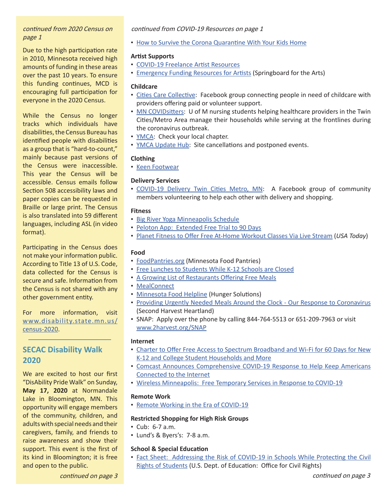### continued from 2020 Census on page 1

Due to the high participation rate in 2010, Minnesota received high amounts of funding in these areas over the past 10 years. To ensure this funding continues, MCD is encouraging full participation for everyone in the 2020 Census.

While the Census no longer tracks which individuals have disabilities, the Census Bureau has identified people with disabilities as a group that is "hard-to-count," mainly because past versions of the Census were inaccessible. This year the Census will be accessible. Census emails follow Section 508 accessibility laws and paper copies can be requested in Braille or large print. The Census is also translated into 59 different languages, including ASL (in video format).

Participating in the Census does not make your information public. According to Title 13 of U.S. Code, data collected for the Census is secure and safe. Information from the Census is not shared with any other government entity.

For more information, visit [www.disability.state.mn.us/](https://www.disability.state.mn.us/census-2020/) [census-2020.](https://www.disability.state.mn.us/census-2020/)

# **SECAC Disability Walk 2020**

We are excited to host our first "DisAbility Pride Walk" on Sunday, **May 17, 2020** at Normandale Lake in Bloomington, MN. This opportunity will engage members of the community, children, and adults with special needs and their caregivers, family, and friends to raise awareness and show their support. This event is the first of its kind in Bloomington; it is free and open to the public.

### continued from COVID-19 Resources on page 1

• [How to Survive the Corona Quarantine With Your Kids Home](https://drive.google.com/file/d/1egj449JfFIklU2R2W5z7eNQRlflmm_xe/view?fbclid=IwAR0mg53jKl8yZylrqM1snByCcJCs_XLdZIFWMFt6VLiCxz7akcIKptCkb7E)

### **Artist Supports**

- [COVID-19 Freelance Artist Resources](https://covid19freelanceartistresource.wordpress.com/)
- [Emergency Funding Resources for Artists](https://springboardforthearts.org/wp-content/uploads/2016/11/Emergency-Resources-2016.pdf?fbclid=IwAR0d1cbUZ8tvAZaeOziS57ubZ4cuH6xO2WxTzOgfTLe52kTkeGSOzJUeviQ) (Springboard for the Arts)

### **Childcare**

- [Cities Care Collective](https://www.facebook.com/CitiesCareCollective/): Facebook group connecting people in need of childcare with providers offering paid or volunteer support.
- [MN COVIDsitters:](https://www.mncovidsitters.org/) U of M nursing students helping healthcare providers in the Twin Cities/Metro Area manage their households while serving at the frontlines during the coronavirus outbreak.
- [YMCA:](https://www.ymcamn.org/) Check your local chapter.
- **[YMCA Update Hub](https://www.ymcamn.org/update-hub):** Site cancellations and postponed events.

### **Clothing**

• [Keen Footwear](https://www.keenfootwear.com/?fbclid=IwAR2afM0dg7JlKGlDTBiI4x7AWyeVXk3Cu9R9cW4PQdzP-YpcO8vJSXkuldo)

### **Delivery Services**

• [COVID-19 Delivery Twin Cities Metro, MN:](https://www.facebook.com/groups/1362018797338229/) A Facebook group o[f](https://www.facebook.com/groups/1362018797338229/
) community members volunteering to help each other with delivery and shopping.

### **Fitness**

- [Big River Yoga Minneapolis Schedule](https://www.bigriveryoga.com/minneapolis-yoga-class-schedule?fbclid=IwAR3NMeRoivJb5nIF3kAYcvkcgOioNz9rfyHHe9IpObcXPv0GefalJtPsfOE)
- [Peloton App: Extended Free Trial to 90 Days](https://www.onepeloton.com/digital/checkout/digital-90d)
- [Planet Fitness to Offer Free At-Home Workout Classes Via Live Stream](https://www.usatoday.com/story/money/2020/03/16/planet-fitness-offers-free-home-workout-classes-online/5062122002/?fbclid=IwAR0gnfw9NMwCgTE3nuGaSih8uOVJZRVFI03yjenjoZ6REp38MsYX_vsflWA) (*USA Today*)

### **Food**

- [FoodPantries.org](https://www.foodpantries.org/st/minnesota) (Minnesota Food Pantries)
- [Free Lunches to Students While K-12 Schools are Closed](https://kstp.com/coronavirus/list-of-restaurants-offering-free-lunches-while-schools-are-cloased/5674954/?fbclid=IwAR07pZ7wDUWynCaJBlJyceJfJeKDwqkNJz7MKF-uetaDD2Prfg_DYshulEA)
- [A Growing List of Restaurants Offering Free Meals](https://givemethemike.com/2020/03/15/a-growing-list-of-programs-and-restaurants-offering-food-to-families-in-minnesota/#Minneapolis)
- [MealConnect](https://mealconnect.org/)
- [Minnesota Food Helpline](http://www.hungersolutions.org/programs/mn-food-helpline/?fbclid=IwAR0wp5jk5qmGmhhoS-e0OFreurfj-fpv0F3CWpJDK0gP9GvC4-0yn_jTSFw) (Hunger Solutions)
- [Providing Urgently Needed Meals Around the Clock Our Response to Coronavirus](https://www.2harvest.org/our-impact/coronavirus.html#.XoO7-MLsY2x)  (Second Harvest Heartland)
- SNAP: Apply over the phone by calling 844-764-5513 or 651-209-7963 or visit [www.2harvest.org/SNAP](https://www.2harvest.org/who--how-we-help/services-and-programs/programs/snap-outreach.html#.XoO7OcLsY2w)

### **Internet**

- [Charter to Offer Free Access to Spectrum Broadband and Wi-Fi for 60 Days for New](https://corporate.charter.com/newsroom/charter-to-offer-free-access-to-spectrum-broadband-and-wifi-for-60-days-for-new-K12-and-college-student-households-and-more)  [K-12 and College Student Households and More](https://corporate.charter.com/newsroom/charter-to-offer-free-access-to-spectrum-broadband-and-wifi-for-60-days-for-new-K12-and-college-student-households-and-more)
- [Comcast Announces Comprehensive COVID-19 Response to Help Keep Americans](https://corporate.comcast.com/covid-19)  [Connected to the Internet](https://corporate.comcast.com/covid-19)
- [Wireless Minneapolis: Free Temporary Services in Response to COVID-19](http://www.minneapolismn.gov/wireless/index.htm)

### **Remote Work**

• [Remote Working in the Era of COVID-19](https://moveminneapolis.org/)

### **Restricted Shopping for High Risk Groups**

- Cub: 6-7 a.m.
- Lund's & Byers's: 7-8 a.m.

### **School & Special Education**

• [Fact Sheet: Addressing the Risk of COVID-19 in Schools While Protecting the Civil](https://www2.ed.gov/about/offices/list/ocr/docs/ocr-coronavirus-fact-sheet.pdf)  [Rights of Students](https://www2.ed.gov/about/offices/list/ocr/docs/ocr-coronavirus-fact-sheet.pdf) (U.S. Dept. of Education: Office for Civil Rights)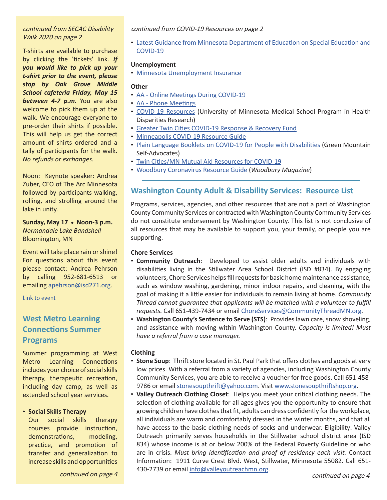### continued from SECAC Disability Walk 2020 on page 2

T-shirts are available to purchase by clicking the 'tickets' link. *If you would like to pick up your t-shirt prior to the event, please stop by Oak Grove Middle School cafeteria Friday, May 15 between 4-7 p.m.* You are also welcome to pick them up at the walk. We encourage everyone to pre-order their shirts if possible. This will help us get the correct amount of shirts ordered and a tally of participants for the walk. *No refunds or exchanges.*

Noon: Keynote speaker: Andrea Zuber, CEO of The Arc Minnesota followed by participants walking, rolling, and strolling around the lake in unity.

Sunday, May 17 • Noon-3 p.m. *Normandale Lake Bandshell* Bloomington, MN

Event will take place rain or shine! For questions about this event please contact: Andrea Pehrson by calling 952-681-6513 or emailing [apehrson@isd271.org.](mailto:apehrson%40isd271.org%20?subject=)

[Link to event](https://www.eventbrite.com/e/secac-disability-walk-2020-tickets-92137907963?aff=ebdssbdestsearch)

# **West Metro Learning Connections Summer Programs**

Summer programming at West Metro Learning Connections includes your choice of social skills therapy, therapeutic recreation, including day camp, as well as extended school year services.

### • **Social Skills Therapy**

Our social skills therapy courses provide instruction, demonstrations, modeling, practice, and promotion of transfer and generalization to increase skills and opportunities

continued on page 4

continued from COVID-19 Resources on page 2

• [Latest Guidance from Minnesota Department of Education on Special Education and](https://education.mn.gov/MDE/dse/sped/)  [COVID-19](https://education.mn.gov/MDE/dse/sped/)

### **Unemployment**

• [Minnesota Unemployment Insurance](https://uimn.org/)

### **Other**

- [AA Online Meetings During COVID-19](https://docs.google.com/document/d/1a71ccw7ihaWelksKwOp4AzAkYlVqSoKiN6Gsm38bKMU/preview?fbclid=IwAR3Tf2rttsHn9NkJB8_pNy8aq9Yv04Pp4B0-VPBvi7F7QNAWNVbGy2SNKBM&pru=AAABcRfCoxA*PL1rNB8IoN5mBF6iqbG4tA)
- [AA Phone Meetings](http://aaphonemeetings.org/?fbclid=IwAR3kTKPocmAtwz7_-h5XXcSiNArLao3oIT06hHntknVHNBzpwOJdQA5VNag)
- [COVID-19 Resources](https://docs.google.com/document/d/1w5rNLRPqIMURzGAP0gGTwILrbvzsG242O_A5gN7kX20/mobilebasic?fbclid=IwAR38n-2ODzN18vUlfObWDusx5YRv6MOmOPbzWz_43kZ2cs1zICUOJ3TxAsQ) (University of Minnesota Medical School Program in Health Disparities Research)
- [Greater Twin Cities COVID-19 Response & Recovery Fund](https://www.gtcuw.org/)
- [Minneapolis COVID-19 Resource Guide](https://docs.google.com/document/d/1LxE6Y0lf1czvEM-RGnrxnxsiwvILaAV6FNMOwNdGFqI/edit?fbclid=IwAR1XLvSXbazYTkkH_J9IJSunnSZ-OISRVJKn9th_BXP5BHkKv5AsGk-_J2g#)
- [Plain Language Booklets on COVID-19 for People with Disabilities](http://www.gmsavt.org/) (Green Mountain Self-Advocates)
- [Twin Cities/MN Mutual Aid Resources for COVID-19](https://docs.google.com/spreadsheets/d/1WaNZ8QR6dv8LI6HfLXFIE3OB3SmdsskNaobt6QZ8TBc/edit?fbclid=IwAR1-oc3wNt85BnFCT5BhNeG7TRrHVd-3xKJ2204bk2uwB0jegZpTZ0iETvU#gid=0)
- [Woodbury Coronavirus Resource Guide](https://woodburymag.com/woodbury-coronavirus-resource-guide) (*Woodbury Magazine*)

# **Washington County Adult & Disability Services: Resource List**

Programs, services, agencies, and other resources that are not a part of Washington County Community Services or contracted with Washington County Community Services do not constitute endorsement by Washington County. This list is not conclusive of all resources that may be available to support you, your family, or people you are supporting.

### **Chore Services**

- **Community Outreach**: Developed to assist older adults and individuals with disabilities living in the Stillwater Area School District (ISD #834). By engaging volunteers, Chore Services helps fill requests for basic home maintenance assistance, such as window washing, gardening, minor indoor repairs, and cleaning, with the goal of making it a little easier for individuals to remain living at home. *Community Thread cannot guarantee that applicants will be matched with a volunteer to fulfill requests.* Call 651-439-7434 or email [ChoreServices@CommunityThreadMN.org.](mailto:ChoreServices%40CommunityThreadMN.org?subject=)
- **Washington County's Sentence to Serve (STS)**: Provides lawn care, snow shoveling, and assistance with moving within Washington County. *Capacity is limited! Must have a referral from a case manager.*

### **Clothing**

- **Stone Soup**: Thrift store located in St. Paul Park that offers clothes and goods at very low prices. With a referral from a variety of agencies, including Washington County Community Services, you are able to receive a voucher for free goods. Call 651-458- 9786 or email [stonesoupthrift@yahoo.com](mailto:stonesoupthrift%40yahoo.com?subject=). Visit [www.stonesoupthriftshop.org](https://www.stonesoupthriftshop.org/ ).
- **Valley Outreach Clothing Closet**: Helps you meet your critical clothing needs. The selection of clothing available for all ages gives you the opportunity to ensure that growing children have clothes that fit, adults can dress confidently for the workplace, all individuals are warm and comfortably dressed in the winter months, and that all have access to the basic clothing needs of socks and underwear. Eligibility: Valley Outreach primarily serves households in the Stillwater school district area (ISD 834) whose income is at or below 200% of the Federal Poverty Guideline or who are in crisis. *Must bring identification and proof of residency each visit.* Contact Information: 1911 Curve Crest Blvd. West, Stillwater, Minnesota 55082. Call 651 430-2739 or email [info@valleyoutreachmn.org.](mailto:info%40valleyoutreachmn.org?subject=)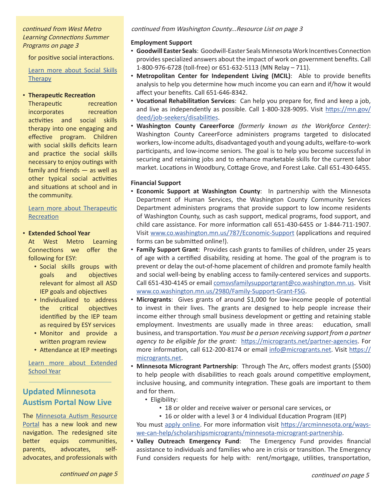### continued from West Metro Learning Connections Summer Programs on page 3

for positive social interactions.

[Learn more about Social Skills](https://www.wmlc.biz/our-services/summer/social-skills-therapy/) **[Therapy](https://www.wmlc.biz/our-services/summer/social-skills-therapy/)** 

### • **Therapeutic Recreation**

Therapeutic recreation incorporates recreation activities and social skills therapy into one engaging and effective program. Children with social skills deficits learn and practice the social skills necessary to enjoy outings with family and friends — as well as other typical social activities and situations at school and in the community.

### [Learn more about Therapeutic](https://www.wmlc.biz/our-services/summer/therapeutic-recreation/) [Recreation](https://www.wmlc.biz/our-services/summer/therapeutic-recreation/)

### • **Extended School Year**

At West Metro Learning Connections we offer the following for ESY:

- Social skills groups with goals and objectives relevant for almost all ASD IEP goals and objectives
- Individualized to address the critical objectives identified by the IEP team as required by ESY services
- Monitor and provide a written program review
- Attendance at IEP meetings

[Learn more about Extended](https://www.wmlc.biz/our-services/summer/esy/) [School Year](https://www.wmlc.biz/our-services/summer/esy/)

# **Updated Minnesota Austism Portal Now Live**

The [Minnesota Autism Resource](https://mn.gov/autism/) [Portal](https://mn.gov/autism/) has a new look and new navigation. The redesigned site better equips communities, parents, advocates, selfadvocates, and professionals with

### **Employment Support**

- **Goodwill Easter Seals**: Goodwill-Easter Seals Minnesota Work Incentives Connection provides specialized answers about the impact of work on government benefits. Call 1-800-976-6728 (toll-free) or 651-632-5113 (MN Relay – 711).
- **Metropolitan Center for Independent Living (MCIL)**: Able to provide benefits analysis to help you determine how much income you can earn and if/how it would affect your benefits. Call 651-646-8342.
- **Vocational Rehabilitation Services**: Can help you prepare for, find and keep a job, and live as independently as possible. Call 1-800-328-9095. Visit [https://mn.gov/](https://mn.gov/deed/job-seekers/disabilities) [deed/job-seekers/disabilities](https://mn.gov/deed/job-seekers/disabilities).
- **Washington County CareerForce** *(formerly known as the Workforce Center)*: Washington County CareerForce administers programs targeted to dislocated workers, low-income adults, disadvantaged youth and young adults, welfare-to-work participants, and low-income seniors. The goal is to help you become successful in securing and retaining jobs and to enhance marketable skills for the current labor market. Locations in Woodbury, Cottage Grove, and Forest Lake. Call 651-430-6455.

### **Financial Support**

- **Economic Support at Washington County**: In partnership with the Minnesota Department of Human Services, the Washington County Community Services Department administers programs that provide support to low income residents of Washington County, such as cash support, medical programs, food support, and child care assistance. For more information call 651-430-6455 or 1-844-711-1907. Visit [www.co.washington.mn.us/787/Economic-Support](https://www.co.washington.mn.us/787/Economic-Support) (applications and required forms can be submitted online!).
- **Family Support Grant**: Provides cash grants to families of children, under 25 years of age with a certified disability, residing at home. The goal of the program is to prevent or delay the out-of-home placement of children and promote family health and social well-being by enabling access to family-centered services and supports. Call 651-430-4145 or email [comsvsfamilysupportgrant@co.washington.mn.us](mailto:comsvsfamilysupportgrant%40co.washington.mn.us?subject=). Visit [www.co.washington.mn.us/2980/Family-Support-Grant-FSG.](https://www.co.washington.mn.us/2980/Family-Support-Grant-FSG)
- **Microgrants**: Gives grants of around \$1,000 for low-income people of potential to invest in their lives. The grants are designed to help people increase their income either through small business development or getting and retaining stable employment. Investments are usually made in three areas: education, small business, and transportation. Y*ou must be a person receiving support from a partner agency to be eligible for the grant:* [https://microgrants.net/partner-agencies](https://microgrants.net/partner-agencies/). For more information, call 612-200-8174 or email [info@microgrants.net](mailto:info%40microgrants.net?subject=). Visit [https://](https://microgrants.net/) [microgrants.net.](https://microgrants.net/)
- **Minnesota Microgrant Partnership**: Through The Arc, offers modest grants (\$500) to help people with disabilities to reach goals around competitive employment, inclusive housing, and community integration. These goals are important to them and for them.
	- Eligibility:
		- 18 or older and receive waiver or personal care services, or
	- 16 or older with a level 3 or 4 Individual Education Program (IEP) You must [apply online.](https://thearcminnesota.submittable.com/submit/b1a447fc-ad5e-48b5-a4b8-9de2891e95c5/the-minnesota-microgrant-partnership) For more information visit [https://arcminnesota.org/ways](https://arcminnesota.org/ways-we-can-help/scholarships-microgrants/minnesota-microgrant-partnership/)[we-can-help/scholarshipsmicrogrants/minnesota-microgrant-partnership.](https://arcminnesota.org/ways-we-can-help/scholarships-microgrants/minnesota-microgrant-partnership/)
- **Valley Outreach Emergency Fund**: The Emergency Fund provides financial assistance to individuals and families who are in crisis or transition. The Emergency Fund considers requests for help with: rent/mortgage, utilities, transportation,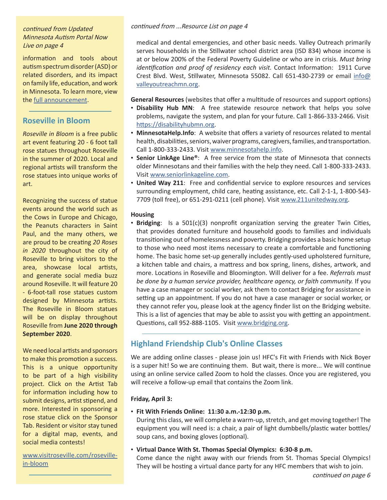# Minnesota Autism Portal Now Live on page 4

information and tools about autism spectrum disorder (ASD) or related disorders, and its impact on family life, education, and work in Minnesota. To learn more, view the [full announcement](https://www.dhs.state.mn.us/main/idcplg?IdcService=GET_DYNAMIC_CONVERSION&RevisionSelectionMethod=LatestReleased&dDocName=DHS-318638).

# **Roseville in Bloom**

*Roseville in Bloom* is a free public art event featuring 20 - 6 foot tall rose statues throughout Roseville in the summer of 2020. Local and regional artists will transform the rose statues into unique works of art.

Recognizing the success of statue events around the world such as the Cows in Europe and Chicago, the Peanuts characters in Saint Paul, and the many others, we are proud to be creating *20 Roses in 2020* throughout the city of Roseville to bring visitors to the area, showcase local artists, and generate social media buzz around Roseville. It will feature 20 - 6-foot-tall rose statues custom designed by Minnesota artists. The Roseville in Bloom statues will be on display throughout Roseville from **June 2020 through September 2020**.

We need local artists and sponsors to make this promotion a success. This is a unique opportunity to be part of a high visibility project. Click on the Artist Tab for information including how to submit designs, artist stipend, and more. Interested in sponsoring a rose statue click on the Sponsor Tab. Resident or visitor stay tuned for a digital map, events, and social media contests!

[www.visitroseville.com/roseville](https://www.visitroseville.com/roseville-in-bloom/)[in-bloom](https://www.visitroseville.com/roseville-in-bloom/)

# continued from Updated continued from ...Resource List on page 4

medical and dental emergencies, and other basic needs. Valley Outreach primarily serves households in the Stillwater school district area (ISD 834) whose income is at or below 200% of the Federal Poverty Guideline or who are in crisis. *Must bring identification and proof of residency each visit.* Contact Information: 1911 Curve Crest Blvd. West, Stillwater, Minnesota 55082. Call 651-430-2739 or email [info@](mailto:info%40valleyoutreachmn.org?subject=) [valleyoutreachmn.org.](mailto:info%40valleyoutreachmn.org?subject=)

**General Resources** (websites that offer a multitude of resources and support options)

- **Disability Hub MN**: A free statewide resource network that helps you solve problems, navigate the system, and plan for your future. Call 1-866-333-2466. Visit [https://disabilityhubmn.org](https://disabilityhubmn.org/).
- **MinnesotaHelp.Info**: A website that offers a variety of resources related to mental health, disabilities, seniors, waiver programs, caregivers, families, and transportation. Call 1-800-333-2433. Visit [www.minnesotahelp.info.](https://www.minnesotahelp.info/ )
- **Senior LinkAge Line®**: A free service from the state of Minnesota that connects older Minnesotans and their families with the help they need. Call 1-800-333-2433. Visit [www.seniorlinkageline.com.](https://www.seniorlinkageline.com/)
- **United Way 211**: Free and confidential service to explore resources and services surrounding employment, child care, heating assistance, etc. Call 2-1-1, 1-800-543- 7709 (toll free), or 651-291-0211 (cell phone). Visit [www.211unitedway.org.](https://www.211unitedway.org/)

### **Housing**

• **Bridging**: Is a 501(c)(3) nonprofit organization serving the greater Twin Cities, that provides donated furniture and household goods to families and individuals transitioning out of homelessness and poverty. Bridging provides a basic home setup to those who need most items necessary to create a comfortable and functioning home. The basic home set-up generally includes gently-used upholstered furniture, a kitchen table and chairs, a mattress and box spring, linens, dishes, artwork, and more. Locations in Roseville and Bloomington. Will deliver for a fee. *Referrals must be done by a human service provider, healthcare agency, or faith community.* If you have a case manager or social worker, ask them to contact Bridging for assistance in setting up an appointment. If you do not have a case manager or social worker, or they cannot refer you, please look at the agency finder list on the Bridging website. This is a list of agencies that may be able to assist you with getting an appointment. Questions, call 952-888-1105. Visit [www.bridging.org](https://www.bridging.org/).

# **Highland Friendship Club's Online Classes**

We are adding online classes - please join us! HFC's Fit with Friends with Nick Boyer is a super hit! So we are continuing them. But wait, there is more... We will continue using an online service called Zoom to hold the classes. Once you are registered, you will receive a follow-up email that contains the Zoom link.

### **Friday, April 3:**

• **Fit With Friends Online: 11:30 a.m.-12:30 p.m.**

During this class, we will complete a warm-up, stretch, and get moving together! The equipment you will need is: a chair, a pair of light dumbbells/plastic water bottles/ soup cans, and boxing gloves (optional).

• **Virtual Dance With St. Thomas Special Olympics: 6:30-8 p.m.** Come dance the night away with our friends from St. Thomas Special Olympics! They will be hosting a virtual dance party for any HFC members that wish to join.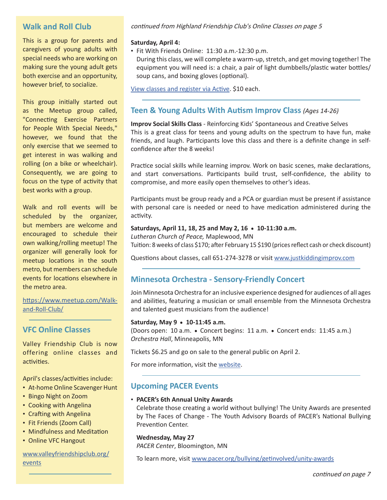# **Walk and Roll Club**

This is a group for parents and caregivers of young adults with special needs who are working on making sure the young adult gets both exercise and an opportunity, however brief, to socialize.

This group initially started out as the Meetup group called, "Connecting Exercise Partners for People With Special Needs," however, we found that the only exercise that we seemed to get interest in was walking and rolling (on a bike or wheelchair). Consequently, we are going to focus on the type of activity that best works with a group.

Walk and roll events will be scheduled by the organizer, but members are welcome and encouraged to schedule their own walking/rolling meetup! The organizer will generally look for meetup locations in the south metro, but members can schedule events for locations elsewhere in the metro area.

### [https://www.meetup.com/Walk](https://www.meetup.com/Walk-and-Roll-Club/)[and-Roll-Club/](https://www.meetup.com/Walk-and-Roll-Club/)

## **VFC Online Classes**

Valley Friendship Club is now offering online classes and activities.

April's classes/activities include:

- At-home Online Scavenger Hunt
- Bingo Night on Zoom
- Cooking with Angelina
- Crafting with Angelina
- Fit Friends (Zoom Call)
- Mindfulness and Meditation
- Online VFC Hangout

### www.valleyfriendshipclub.org/ events

### continued from Highland Friendship Club's Online Classes on page 5

### **Saturday, April 4:**

• Fit With Friends Online: 11:30 a.m.-12:30 p.m.

During this class, we will complete a warm-up, stretch, and get moving together! The equipment you will need is: a chair, a pair of light dumbbells/plastic water bottles/ soup cans, and boxing gloves (optional).

[View classes and register via Active](https://campscui.active.com/orgs/HighlandFriendshipClub?utm_source=Friendship+Club+Newsletter&utm_campaign=f346faf676-EMAIL_CAMPAIGN_2019_11_27_05_34_COPY_24&utm_medium=email&utm_term=0_d1f19b3202-f346faf676-86516019#/selectSessions/2823603). \$10 each.

# **Teen & Young Adults With Autism Improv Class** *(Ages 14-26)*

**Improv Social Skills Class** - Reinforcing Kids' Spontaneous and Creative Selves This is a great class for teens and young adults on the spectrum to have fun, make friends, and laugh. Participants love this class and there is a definite change in selfconfidence after the 8 weeks!

Practice social skills while learning improv. Work on basic scenes, make declarations, and start conversations. Participants build trust, self-confidence, the ability to compromise, and more easily open themselves to other's ideas.

Participants must be group ready and a PCA or guardian must be present if assistance with personal care is needed or need to have medication administered during the activity.

### Saturdays, April 11, 18, 25 and May 2, 16 • 10-11:30 a.m.

*Lutheran Church of Peace,* Maplewood, MN Tuition: 8 weeks of class \$170; after February 15 \$190 (prices reflect cash or check discount)

Questions about classes, call 651-274-3278 or visit [www.justkiddingimprov.com](https://www.justkiddingimprov.com/  )

# **Minnesota Orchestra - Sensory-Friendly Concert**

Join Minnesota Orchestra for an inclusive experience designed for audiences of all ages and abilities, featuring a musician or small ensemble from the Minnesota Orchestra and talented guest musicians from the audience!

### Saturday, May 9 . 10-11:45 a.m.

(Doors open: 10 a.m.  $\bullet$  Concert begins: 11 a.m.  $\bullet$  Concert ends: 11:45 a.m.) *Orchestra Hall*, Minneapolis, MN

Tickets \$6.25 and go on sale to the general public on April 2.

For more information, visit the [website.](https://www.minnesotaorchestra.org/tickets/calendar/eventdetail/1468/-/sensory-friendly-concert-string-quartet)

# **Upcoming PACER Events**

### • **PACER's 6th Annual Unity Awards**

Celebrate those creating a world without bullying! The Unity Awards are presented by The Faces of Change - The Youth Advisory Boards of PACER's National Bullying Prevention Center.

### **Wednesday, May 27**

*PACER Center*, Bloomington, MN

To learn more, visit [www.pacer.org/bullying/getinvolved/unity-awards](https://www.pacer.org/bullying/getinvolved/unity-awards.asp)